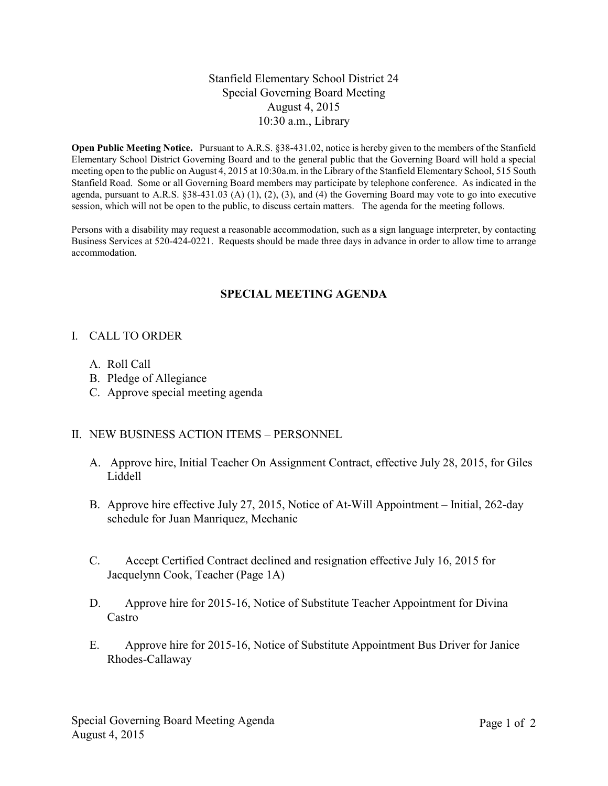### Stanfield Elementary School District 24 Special Governing Board Meeting August 4, 2015 10:30 a.m., Library

**Open Public Meeting Notice.** Pursuant to A.R.S. §38-431.02, notice is hereby given to the members of the Stanfield Elementary School District Governing Board and to the general public that the Governing Board will hold a special meeting open to the public on August 4, 2015 at 10:30a.m. in the Library of the Stanfield Elementary School, 515 South Stanfield Road. Some or all Governing Board members may participate by telephone conference. As indicated in the agenda, pursuant to A.R.S.  $\S 38-431.03$  (A) (1), (2), (3), and (4) the Governing Board may vote to go into executive session, which will not be open to the public, to discuss certain matters. The agenda for the meeting follows.

Persons with a disability may request a reasonable accommodation, such as a sign language interpreter, by contacting Business Services at 520-424-0221. Requests should be made three days in advance in order to allow time to arrange accommodation.

# **SPECIAL MEETING AGENDA**

### I. CALL TO ORDER

- A. Roll Call
- B. Pledge of Allegiance
- C. Approve special meeting agenda

### II. NEW BUSINESS ACTION ITEMS – PERSONNEL

- A. Approve hire, Initial Teacher On Assignment Contract, effective July 28, 2015, for Giles Liddell
- B. Approve hire effective July 27, 2015, Notice of At-Will Appointment Initial, 262-day schedule for Juan Manriquez, Mechanic
- C. Accept Certified Contract declined and resignation effective July 16, 2015 for Jacquelynn Cook, Teacher (Page 1A)
- D. Approve hire for 2015-16, Notice of Substitute Teacher Appointment for Divina Castro
- E. Approve hire for 2015-16, Notice of Substitute Appointment Bus Driver for Janice Rhodes-Callaway